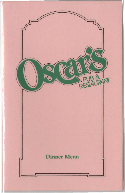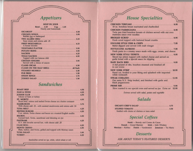## *Appetizers*

#### SOUP DU JOUR

Bowl.....2.25 Cup.....1.25 Hearty and homemade

| Buffalo hot or barbequed       |  |
|--------------------------------|--|
|                                |  |
| Sour cream and onions add .25  |  |
|                                |  |
| A house favorite               |  |
|                                |  |
|                                |  |
|                                |  |
|                                |  |
| Topped with our famous chili   |  |
|                                |  |
| Served with a choice of sauces |  |
|                                |  |
|                                |  |
|                                |  |
|                                |  |
|                                |  |
|                                |  |
|                                |  |

### *Sandwiches*

| <b>JUNIOR CLUB</b><br>Choice of ham or turkey                                       |  |
|-------------------------------------------------------------------------------------|--|
| Roast beef, onions and melted Swiss cheese on a butter croissant                    |  |
| With cheese add .25with sauteed mushrooms and onions add .50                        |  |
|                                                                                     |  |
| 5 oz. sirloin, Swiss cheese and bacon on a toasted English muffin                   |  |
| Corned beef, Swiss, sauerkraut and dressing on rye                                  |  |
| N.Y. deli favorite served hot, with cheese add .25                                  |  |
|                                                                                     |  |
| <b>MONTE CRISTO</b><br>Ham, turkey, and Swiss, grilled and topped with Mornay sauce |  |
|                                                                                     |  |
|                                                                                     |  |

*Sandwiches served on rye, white, whole wheat or roll* 

# *House Specialties*

| 10 oz. boneless breast marinated and charbroiled                                                            |
|-------------------------------------------------------------------------------------------------------------|
| Twin pan fried boneless breasts of chicken served with our own<br>marinara sauce over noodles               |
| Fresh scrod topped with buttered bread crumbs                                                               |
| Batter-dipped and served with malt vinegar                                                                  |
| Fresh pasta in a creamy sauce made with eggs, cream, and cheese                                             |
| Sliced top sirloin topped with melted cheese and served on<br>garlic bread with a special sauce for dipping |
| A full pound of ribs, bourbon steamed and finished off<br>in our ovens                                      |
| Hand cut, broiled to your liking and splashed with imported<br>white vermouth                               |
| Our same N.Y. Strip broiled, and finished with garlic and<br>black peppercorns                              |
|                                                                                                             |
| Slow roasted in our special oven and served au jus Extra cut<br>12.95                                       |

*Entrees served with salad, potato and vegetable* 

### *Salads*

| Stuffed with choice of chicken or tuna salad |  |
|----------------------------------------------|--|

### *Special Coffees*

Keoki - Brandy and Creme de Cacao French - Grand Marnier Irish - Irish Whiskey Mexican - Kahlua Dutch - Vandermint Jamaican - Tia Maria

### *Desserts*

ASK ABOUT TODAY'S FEATURED DESSERTS